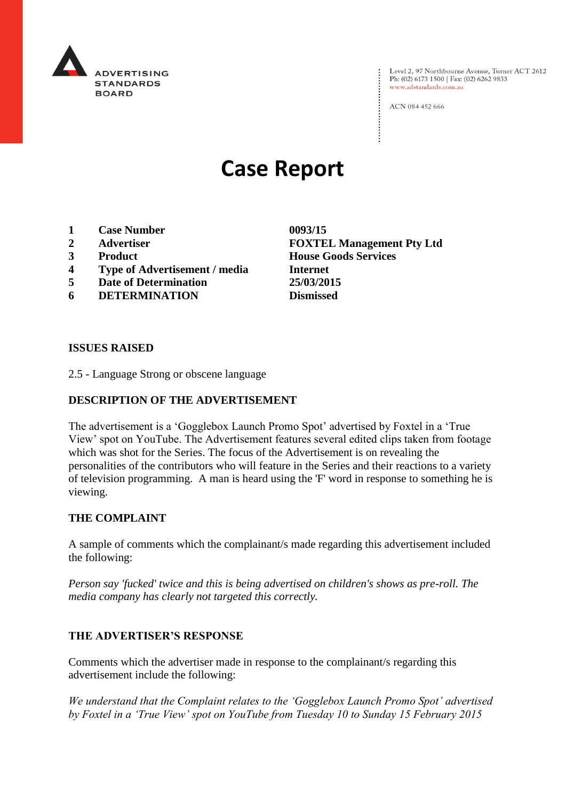

Level 2, 97 Northbourne Avenue, Turner ACT 2612<br>Ph: (02) 6173 1500 | Fax: (02) 6262 9833 www.adstandards.com.au

ACN 084 452 666

# **Case Report**

- **1 Case Number 0093/15**
- 
- 
- **4 Type of Advertisement / media Internet**
- **5 Date of Determination 25/03/2015**
- **6 DETERMINATION Dismissed**

**2 Advertiser FOXTEL Management Pty Ltd 3 Product House Goods Services**

#### **ISSUES RAISED**

2.5 - Language Strong or obscene language

## **DESCRIPTION OF THE ADVERTISEMENT**

The advertisement is a 'Gogglebox Launch Promo Spot' advertised by Foxtel in a 'True View' spot on YouTube. The Advertisement features several edited clips taken from footage which was shot for the Series. The focus of the Advertisement is on revealing the personalities of the contributors who will feature in the Series and their reactions to a variety of television programming. A man is heard using the 'F' word in response to something he is viewing.

#### **THE COMPLAINT**

A sample of comments which the complainant/s made regarding this advertisement included the following:

*Person say 'fucked' twice and this is being advertised on children's shows as pre-roll. The media company has clearly not targeted this correctly.*

### **THE ADVERTISER'S RESPONSE**

Comments which the advertiser made in response to the complainant/s regarding this advertisement include the following:

*We understand that the Complaint relates to the 'Gogglebox Launch Promo Spot' advertised by Foxtel in a 'True View' spot on YouTube from Tuesday 10 to Sunday 15 February 2015*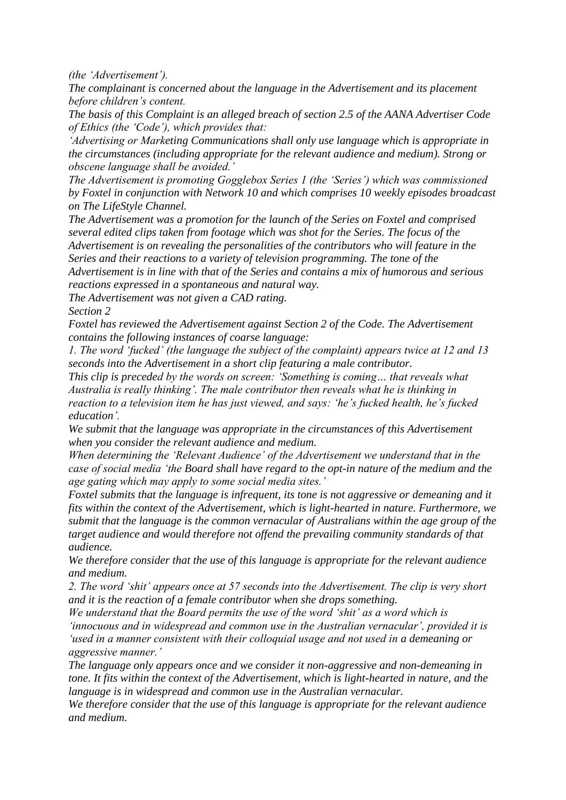*(the 'Advertisement').*

*The complainant is concerned about the language in the Advertisement and its placement before children's content.*

*The basis of this Complaint is an alleged breach of section 2.5 of the AANA Advertiser Code of Ethics (the 'Code'), which provides that:*

*'Advertising or Marketing Communications shall only use language which is appropriate in the circumstances (including appropriate for the relevant audience and medium). Strong or obscene language shall be avoided.'*

*The Advertisement is promoting Gogglebox Series 1 (the 'Series') which was commissioned by Foxtel in conjunction with Network 10 and which comprises 10 weekly episodes broadcast on The LifeStyle Channel.*

*The Advertisement was a promotion for the launch of the Series on Foxtel and comprised several edited clips taken from footage which was shot for the Series. The focus of the Advertisement is on revealing the personalities of the contributors who will feature in the Series and their reactions to a variety of television programming. The tone of the Advertisement is in line with that of the Series and contains a mix of humorous and serious reactions expressed in a spontaneous and natural way.*

*The Advertisement was not given a CAD rating.*

*Section 2*

*Foxtel has reviewed the Advertisement against Section 2 of the Code. The Advertisement contains the following instances of coarse language:*

*1. The word 'fucked' (the language the subject of the complaint) appears twice at 12 and 13 seconds into the Advertisement in a short clip featuring a male contributor.*

*This clip is preceded by the words on screen: 'Something is coming… that reveals what Australia is really thinking'. The male contributor then reveals what he is thinking in reaction to a television item he has just viewed, and says: 'he's fucked health, he's fucked education'.*

*We submit that the language was appropriate in the circumstances of this Advertisement when you consider the relevant audience and medium.*

*When determining the 'Relevant Audience' of the Advertisement we understand that in the case of social media 'the Board shall have regard to the opt-in nature of the medium and the age gating which may apply to some social media sites.'*

*Foxtel submits that the language is infrequent, its tone is not aggressive or demeaning and it fits within the context of the Advertisement, which is light-hearted in nature. Furthermore, we submit that the language is the common vernacular of Australians within the age group of the target audience and would therefore not offend the prevailing community standards of that audience.*

*We therefore consider that the use of this language is appropriate for the relevant audience and medium.*

*2. The word 'shit' appears once at 57 seconds into the Advertisement. The clip is very short and it is the reaction of a female contributor when she drops something.*

*We understand that the Board permits the use of the word 'shit' as a word which is 'innocuous and in widespread and common use in the Australian vernacular', provided it is 'used in a manner consistent with their colloquial usage and not used in a demeaning or aggressive manner.'*

*The language only appears once and we consider it non-aggressive and non-demeaning in tone. It fits within the context of the Advertisement, which is light-hearted in nature, and the language is in widespread and common use in the Australian vernacular.*

*We therefore consider that the use of this language is appropriate for the relevant audience and medium.*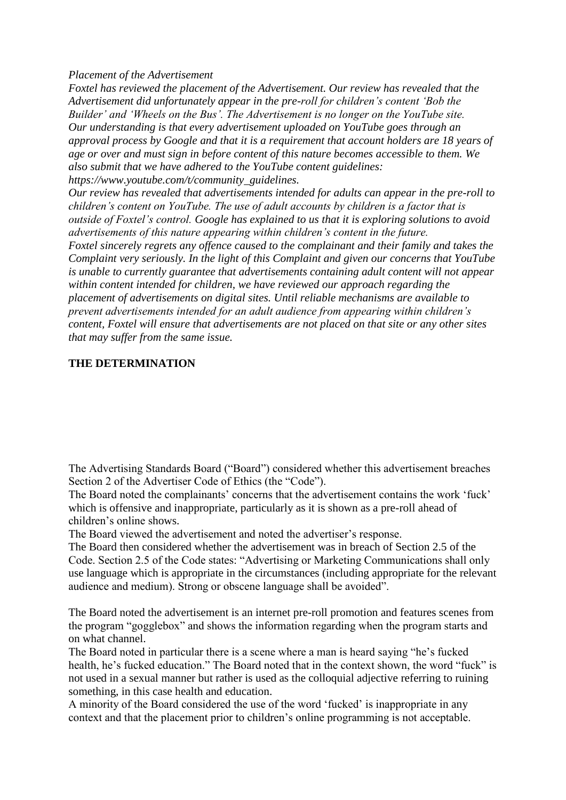#### *Placement of the Advertisement*

*Foxtel has reviewed the placement of the Advertisement. Our review has revealed that the Advertisement did unfortunately appear in the pre-roll for children's content 'Bob the Builder' and 'Wheels on the Bus'. The Advertisement is no longer on the YouTube site. Our understanding is that every advertisement uploaded on YouTube goes through an approval process by Google and that it is a requirement that account holders are 18 years of age or over and must sign in before content of this nature becomes accessible to them. We also submit that we have adhered to the YouTube content guidelines: https://www.youtube.com/t/community\_guidelines.*

*Our review has revealed that advertisements intended for adults can appear in the pre-roll to children's content on YouTube. The use of adult accounts by children is a factor that is outside of Foxtel's control. Google has explained to us that it is exploring solutions to avoid advertisements of this nature appearing within children's content in the future. Foxtel sincerely regrets any offence caused to the complainant and their family and takes the Complaint very seriously. In the light of this Complaint and given our concerns that YouTube is unable to currently guarantee that advertisements containing adult content will not appear within content intended for children, we have reviewed our approach regarding the placement of advertisements on digital sites. Until reliable mechanisms are available to prevent advertisements intended for an adult audience from appearing within children's content, Foxtel will ensure that advertisements are not placed on that site or any other sites that may suffer from the same issue.*

## **THE DETERMINATION**

The Advertising Standards Board ("Board") considered whether this advertisement breaches Section 2 of the Advertiser Code of Ethics (the "Code").

The Board noted the complainants' concerns that the advertisement contains the work 'fuck' which is offensive and inappropriate, particularly as it is shown as a pre-roll ahead of children's online shows.

The Board viewed the advertisement and noted the advertiser's response.

The Board then considered whether the advertisement was in breach of Section 2.5 of the Code. Section 2.5 of the Code states: "Advertising or Marketing Communications shall only use language which is appropriate in the circumstances (including appropriate for the relevant audience and medium). Strong or obscene language shall be avoided".

The Board noted the advertisement is an internet pre-roll promotion and features scenes from the program "gogglebox" and shows the information regarding when the program starts and on what channel.

The Board noted in particular there is a scene where a man is heard saying "he's fucked health, he's fucked education." The Board noted that in the context shown, the word "fuck" is not used in a sexual manner but rather is used as the colloquial adjective referring to ruining something, in this case health and education.

A minority of the Board considered the use of the word 'fucked' is inappropriate in any context and that the placement prior to children's online programming is not acceptable.